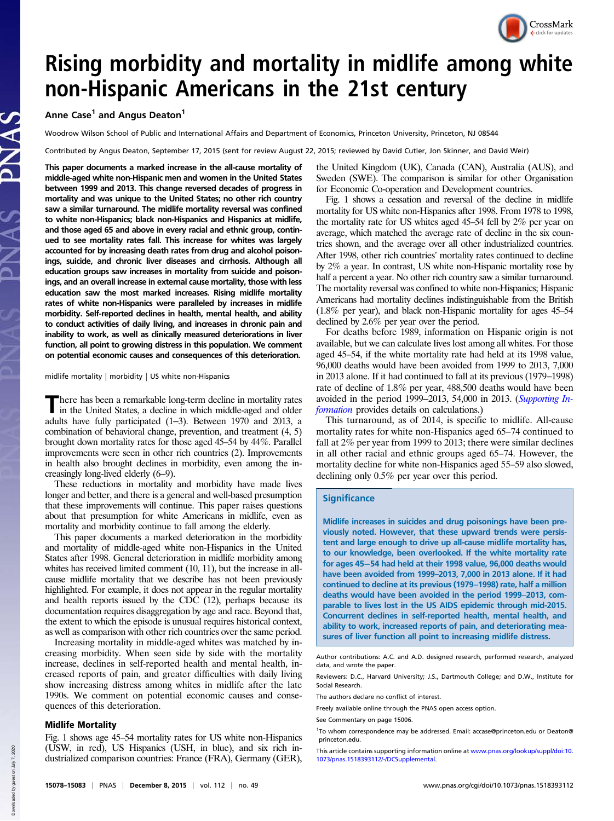

# Rising morbidity and mortality in midlife among white non-Hispanic Americans in the 21st century

## Anne Case<sup>1</sup> and Angus Deaton<sup>1</sup>

Woodrow Wilson School of Public and International Affairs and Department of Economics, Princeton University, Princeton, NJ 08544

Contributed by Angus Deaton, September 17, 2015 (sent for review August 22, 2015; reviewed by David Cutler, Jon Skinner, and David Weir)

This paper documents a marked increase in the all-cause mortality of middle-aged white non-Hispanic men and women in the United States between 1999 and 2013. This change reversed decades of progress in mortality and was unique to the United States; no other rich country saw a similar turnaround. The midlife mortality reversal was confined to white non-Hispanics; black non-Hispanics and Hispanics at midlife, and those aged 65 and above in every racial and ethnic group, continued to see mortality rates fall. This increase for whites was largely accounted for by increasing death rates from drug and alcohol poisonings, suicide, and chronic liver diseases and cirrhosis. Although all education groups saw increases in mortality from suicide and poisonings, and an overall increase in external cause mortality, those with less education saw the most marked increases. Rising midlife mortality rates of white non-Hispanics were paralleled by increases in midlife morbidity. Self-reported declines in health, mental health, and ability to conduct activities of daily living, and increases in chronic pain and inability to work, as well as clinically measured deteriorations in liver function, all point to growing distress in this population. We comment on potential economic causes and consequences of this deterioration.

### midlife mortality | morbidity | US white non-Hispanics

There has been a remarkable long-term decline in mortality rates in the United States, a decline in which middle-aged and older adults have fully participated (1‒3). Between 1970 and 2013, a combination of behavioral change, prevention, and treatment (4, 5) brought down mortality rates for those aged 45–54 by 44%. Parallel improvements were seen in other rich countries (2). Improvements in health also brought declines in morbidity, even among the increasingly long-lived elderly (6‒9).

These reductions in mortality and morbidity have made lives longer and better, and there is a general and well-based presumption that these improvements will continue. This paper raises questions about that presumption for white Americans in midlife, even as mortality and morbidity continue to fall among the elderly.

This paper documents a marked deterioration in the morbidity and mortality of middle-aged white non-Hispanics in the United States after 1998. General deterioration in midlife morbidity among whites has received limited comment (10, 11), but the increase in allcause midlife mortality that we describe has not been previously highlighted. For example, it does not appear in the regular mortality and health reports issued by the CDC (12), perhaps because its documentation requires disaggregation by age and race. Beyond that, the extent to which the episode is unusual requires historical context, as well as comparison with other rich countries over the same period.

Increasing mortality in middle-aged whites was matched by increasing morbidity. When seen side by side with the mortality increase, declines in self-reported health and mental health, increased reports of pain, and greater difficulties with daily living show increasing distress among whites in midlife after the late 1990s. We comment on potential economic causes and consequences of this deterioration.

## Midlife Mortality

Fig. 1 shows age 45–54 mortality rates for US white non-Hispanics (USW, in red), US Hispanics (USH, in blue), and six rich industrialized comparison countries: France (FRA), Germany (GER), the United Kingdom (UK), Canada (CAN), Australia (AUS), and Sweden (SWE). The comparison is similar for other Organisation for Economic Co-operation and Development countries.

Fig. 1 shows a cessation and reversal of the decline in midlife mortality for US white non-Hispanics after 1998. From 1978 to 1998, the mortality rate for US whites aged 45–54 fell by 2% per year on average, which matched the average rate of decline in the six countries shown, and the average over all other industrialized countries. After 1998, other rich countries' mortality rates continued to decline by 2% a year. In contrast, US white non-Hispanic mortality rose by half a percent a year. No other rich country saw a similar turnaround. The mortality reversal was confined to white non-Hispanics; Hispanic Americans had mortality declines indistinguishable from the British (1.8% per year), and black non-Hispanic mortality for ages 45–54 declined by 2.6% per year over the period.

For deaths before 1989, information on Hispanic origin is not available, but we can calculate lives lost among all whites. For those aged 45–54, if the white mortality rate had held at its 1998 value, 96,000 deaths would have been avoided from 1999 to 2013, 7,000 in 2013 alone. If it had continued to fall at its previous (1979–1998) rate of decline of 1.8% per year, 488,500 deaths would have been avoided in the period 1999–2013, 54,000 in 2013. ([Supporting In](http://www.pnas.org/lookup/suppl/doi:10.1073/pnas.1518393112/-/DCSupplemental/pnas.201518393SI.pdf?targetid=nameddest=STXT)[formation](http://www.pnas.org/lookup/suppl/doi:10.1073/pnas.1518393112/-/DCSupplemental/pnas.201518393SI.pdf?targetid=nameddest=STXT) provides details on calculations.)

This turnaround, as of 2014, is specific to midlife. All-cause mortality rates for white non-Hispanics aged 65–74 continued to fall at 2% per year from 1999 to 2013; there were similar declines in all other racial and ethnic groups aged 65–74. However, the mortality decline for white non-Hispanics aged 55–59 also slowed, declining only 0.5% per year over this period.

## **Significance**

Midlife increases in suicides and drug poisonings have been previously noted. However, that these upward trends were persistent and large enough to drive up all-cause midlife mortality has, to our knowledge, been overlooked. If the white mortality rate for ages 45−54 had held at their 1998 value, 96,000 deaths would have been avoided from 1999–2013, 7,000 in 2013 alone. If it had continued to decline at its previous (1979-1998) rate, half a million deaths would have been avoided in the period 1999-2013, comparable to lives lost in the US AIDS epidemic through mid-2015. Concurrent declines in self-reported health, mental health, and ability to work, increased reports of pain, and deteriorating measures of liver function all point to increasing midlife distress.

The authors declare no conflict of interest.

Freely available online through the PNAS open access option.

Author contributions: A.C. and A.D. designed research, performed research, analyzed data, and wrote the paper.

Reviewers: D.C., Harvard University; J.S., Dartmouth College; and D.W., Institute for Social Research.

See Commentary on page 15006.

<sup>&</sup>lt;sup>1</sup>To whom correspondence may be addressed. Email: [accase@princeton.edu](mailto:accase@princeton.edu) or [Deaton@](mailto:Deaton@princeton.edu) [princeton.edu](mailto:Deaton@princeton.edu).

This article contains supporting information online at [www.pnas.org/lookup/suppl/doi:10.](http://www.pnas.org/lookup/suppl/doi:10.1073/pnas.1518393112/-/DCSupplemental) [1073/pnas.1518393112/-/DCSupplemental.](http://www.pnas.org/lookup/suppl/doi:10.1073/pnas.1518393112/-/DCSupplemental)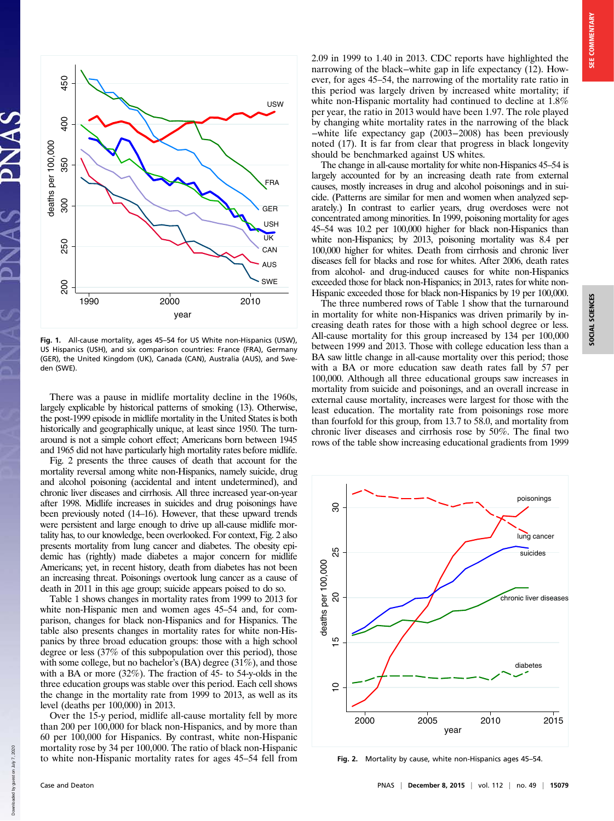

Fig. 1. All-cause mortality, ages 45–54 for US White non-Hispanics (USW), US Hispanics (USH), and six comparison countries: France (FRA), Germany (GER), the United Kingdom (UK), Canada (CAN), Australia (AUS), and Sweden (SWE).

There was a pause in midlife mortality decline in the 1960s, largely explicable by historical patterns of smoking (13). Otherwise, the post-1999 episode in midlife mortality in the United States is both historically and geographically unique, at least since 1950. The turnaround is not a simple cohort effect; Americans born between 1945 and 1965 did not have particularly high mortality rates before midlife.

Fig. 2 presents the three causes of death that account for the mortality reversal among white non-Hispanics, namely suicide, drug and alcohol poisoning (accidental and intent undetermined), and chronic liver diseases and cirrhosis. All three increased year-on-year after 1998. Midlife increases in suicides and drug poisonings have been previously noted (14–16). However, that these upward trends were persistent and large enough to drive up all-cause midlife mortality has, to our knowledge, been overlooked. For context, Fig. 2 also presents mortality from lung cancer and diabetes. The obesity epidemic has (rightly) made diabetes a major concern for midlife Americans; yet, in recent history, death from diabetes has not been an increasing threat. Poisonings overtook lung cancer as a cause of death in 2011 in this age group; suicide appears poised to do so.

Table 1 shows changes in mortality rates from 1999 to 2013 for white non-Hispanic men and women ages 45–54 and, for comparison, changes for black non-Hispanics and for Hispanics. The table also presents changes in mortality rates for white non-Hispanics by three broad education groups: those with a high school degree or less (37% of this subpopulation over this period), those with some college, but no bachelor's (BA) degree (31%), and those with a BA or more (32%). The fraction of 45- to 54-y-olds in the three education groups was stable over this period. Each cell shows the change in the mortality rate from 1999 to 2013, as well as its level (deaths per 100,000) in 2013.

Over the 15-y period, midlife all-cause mortality fell by more than 200 per 100,000 for black non-Hispanics, and by more than 60 per 100,000 for Hispanics. By contrast, white non-Hispanic mortality rose by 34 per 100,000. The ratio of black non-Hispanic to white non-Hispanic mortality rates for ages 45–54 fell from SOCIAL SCIENCES

2.09 in 1999 to 1.40 in 2013. CDC reports have highlighted the narrowing of the black−white gap in life expectancy (12). However, for ages 45–54, the narrowing of the mortality rate ratio in this period was largely driven by increased white mortality; if white non-Hispanic mortality had continued to decline at 1.8% per year, the ratio in 2013 would have been 1.97. The role played by changing white mortality rates in the narrowing of the black −white life expectancy gap (2003−2008) has been previously noted (17). It is far from clear that progress in black longevity should be benchmarked against US whites.

The change in all-cause mortality for white non-Hispanics 45–54 is largely accounted for by an increasing death rate from external causes, mostly increases in drug and alcohol poisonings and in suicide. (Patterns are similar for men and women when analyzed separately.) In contrast to earlier years, drug overdoses were not concentrated among minorities. In 1999, poisoning mortality for ages 45–54 was 10.2 per 100,000 higher for black non-Hispanics than white non-Hispanics; by 2013, poisoning mortality was 8.4 per 100,000 higher for whites. Death from cirrhosis and chronic liver diseases fell for blacks and rose for whites. After 2006, death rates from alcohol- and drug-induced causes for white non-Hispanics exceeded those for black non-Hispanics; in 2013, rates for white non-Hispanic exceeded those for black non-Hispanics by 19 per 100,000.

The three numbered rows of Table 1 show that the turnaround in mortality for white non-Hispanics was driven primarily by increasing death rates for those with a high school degree or less. All-cause mortality for this group increased by 134 per 100,000 between 1999 and 2013. Those with college education less than a BA saw little change in all-cause mortality over this period; those with a BA or more education saw death rates fall by 57 per 100,000. Although all three educational groups saw increases in mortality from suicide and poisonings, and an overall increase in external cause mortality, increases were largest for those with the least education. The mortality rate from poisonings rose more than fourfold for this group, from 13.7 to 58.0, and mortality from chronic liver diseases and cirrhosis rose by 50%. The final two rows of the table show increasing educational gradients from 1999



Fig. 2. Mortality by cause, white non-Hispanics ages 45–54.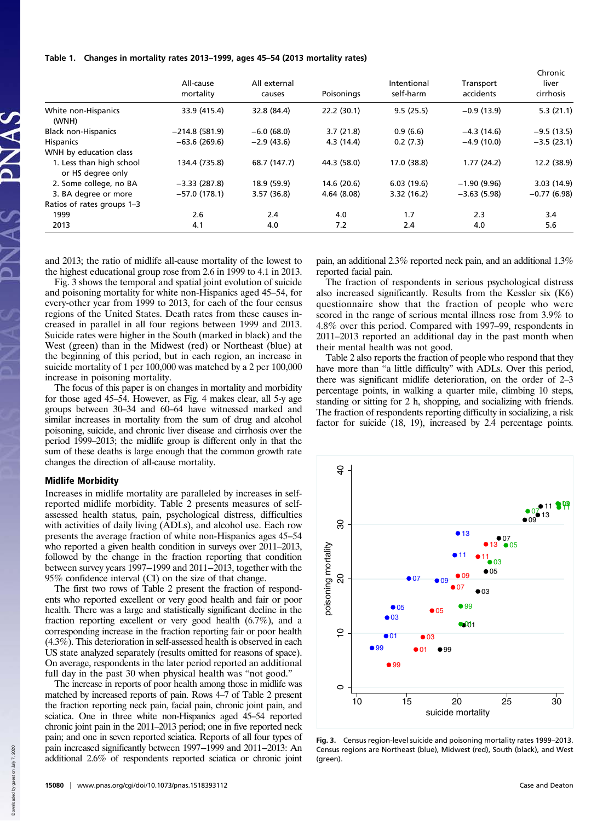### Table 1. Changes in mortality rates 2013–1999, ages 45–54 (2013 mortality rates)

|                                               | All-cause<br>mortality | All external<br>causes | Poisonings  | Intentional<br>self-harm | Transport<br>accidents | Chronic<br>liver<br>cirrhosis |
|-----------------------------------------------|------------------------|------------------------|-------------|--------------------------|------------------------|-------------------------------|
| White non-Hispanics<br>(WNH)                  | 33.9 (415.4)           | 32.8 (84.4)            | 22.2(30.1)  | 9.5(25.5)                | $-0.9(13.9)$           | 5.3(21.1)                     |
| <b>Black non-Hispanics</b>                    | $-214.8(581.9)$        | $-6.0(68.0)$           | 3.7(21.8)   | 0.9(6.6)                 | $-4.3(14.6)$           | $-9.5(13.5)$                  |
| <b>Hispanics</b>                              | $-63.6(269.6)$         | $-2.9(43.6)$           | 4.3(14.4)   | 0.2(7.3)                 | $-4.9(10.0)$           | $-3.5(23.1)$                  |
| WNH by education class                        |                        |                        |             |                          |                        |                               |
| 1. Less than high school<br>or HS degree only | 134.4 (735.8)          | 68.7 (147.7)           | 44.3 (58.0) | 17.0 (38.8)              | 1.77(24.2)             | 12.2 (38.9)                   |
| 2. Some college, no BA                        | $-3.33(287.8)$         | 18.9 (59.9)            | 14.6 (20.6) | 6.03(19.6)               | $-1.90(9.96)$          | 3.03(14.9)                    |
| 3. BA degree or more                          | $-57.0(178.1)$         | 3.57(36.8)             | 4.64(8.08)  | 3.32(16.2)               | $-3.63(5.98)$          | $-0.77(6.98)$                 |
| Ratios of rates groups 1-3                    |                        |                        |             |                          |                        |                               |
| 1999                                          | 2.6                    | 2.4                    | 4.0         | 1.7                      | 2.3                    | 3.4                           |
| 2013                                          | 4.1                    | 4.0                    | 7.2         | 2.4                      | 4.0                    | 5.6                           |

and 2013; the ratio of midlife all-cause mortality of the lowest to the highest educational group rose from 2.6 in 1999 to 4.1 in 2013.

Fig. 3 shows the temporal and spatial joint evolution of suicide and poisoning mortality for white non-Hispanics aged 45–54, for every-other year from 1999 to 2013, for each of the four census regions of the United States. Death rates from these causes increased in parallel in all four regions between 1999 and 2013. Suicide rates were higher in the South (marked in black) and the West (green) than in the Midwest (red) or Northeast (blue) at the beginning of this period, but in each region, an increase in suicide mortality of 1 per 100,000 was matched by a 2 per 100,000 increase in poisoning mortality.

The focus of this paper is on changes in mortality and morbidity for those aged 45–54. However, as Fig. 4 makes clear, all 5-y age groups between 30–34 and 60–64 have witnessed marked and similar increases in mortality from the sum of drug and alcohol poisoning, suicide, and chronic liver disease and cirrhosis over the period 1999–2013; the midlife group is different only in that the sum of these deaths is large enough that the common growth rate changes the direction of all-cause mortality.

#### Midlife Morbidity

Increases in midlife mortality are paralleled by increases in selfreported midlife morbidity. Table 2 presents measures of selfassessed health status, pain, psychological distress, difficulties with activities of daily living (ADLs), and alcohol use. Each row presents the average fraction of white non-Hispanics ages 45–54 who reported a given health condition in surveys over 2011–2013, followed by the change in the fraction reporting that condition between survey years 1997−1999 and 2011−2013, together with the 95% confidence interval (CI) on the size of that change.

The first two rows of Table 2 present the fraction of respondents who reported excellent or very good health and fair or poor health. There was a large and statistically significant decline in the fraction reporting excellent or very good health (6.7%), and a corresponding increase in the fraction reporting fair or poor health (4.3%). This deterioration in self-assessed health is observed in each US state analyzed separately (results omitted for reasons of space). On average, respondents in the later period reported an additional full day in the past 30 when physical health was "not good."

The increase in reports of poor health among those in midlife was matched by increased reports of pain. Rows 4–7 of Table 2 present the fraction reporting neck pain, facial pain, chronic joint pain, and sciatica. One in three white non-Hispanics aged 45–54 reported chronic joint pain in the 2011–2013 period; one in five reported neck pain; and one in seven reported sciatica. Reports of all four types of pain increased significantly between 1997−1999 and 2011−2013: An additional 2.6% of respondents reported sciatica or chronic joint pain, an additional 2.3% reported neck pain, and an additional 1.3% reported facial pain.

The fraction of respondents in serious psychological distress also increased significantly. Results from the Kessler six (K6) questionnaire show that the fraction of people who were scored in the range of serious mental illness rose from 3.9% to 4.8% over this period. Compared with 1997–99, respondents in 2011–2013 reported an additional day in the past month when their mental health was not good.

Table 2 also reports the fraction of people who respond that they have more than "a little difficulty" with ADLs. Over this period, there was significant midlife deterioration, on the order of 2–3 percentage points, in walking a quarter mile, climbing 10 steps, standing or sitting for 2 h, shopping, and socializing with friends. The fraction of respondents reporting difficulty in socializing, a risk factor for suicide (18, 19), increased by 2.4 percentage points.



Fig. 3. Census region-level suicide and poisoning mortality rates 1999–2013. Census regions are Northeast (blue), Midwest (red), South (black), and West (green).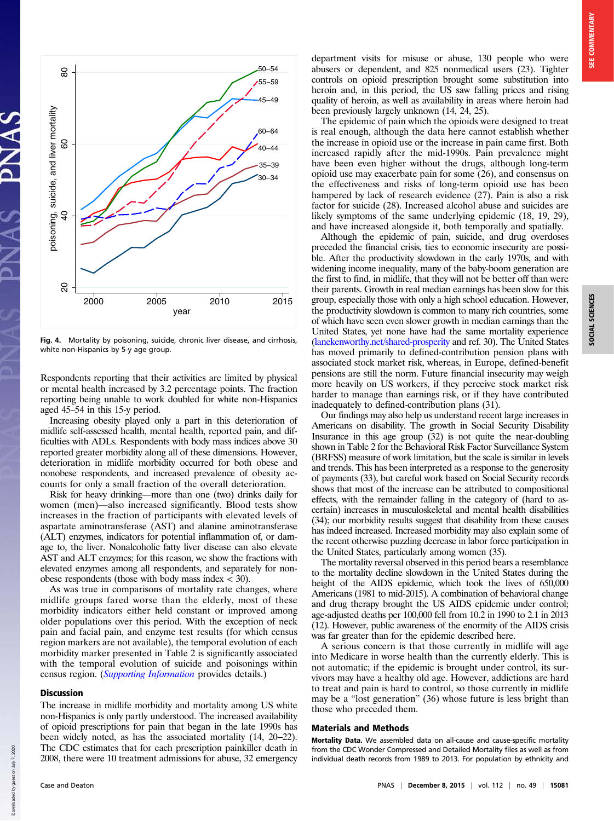



Fig. 4. Mortality by poisoning, suicide, chronic liver disease, and cirrhosis, white non-Hispanics by 5-y age group.

Respondents reporting that their activities are limited by physical or mental health increased by 3.2 percentage points. The fraction reporting being unable to work doubled for white non-Hispanics aged 45–54 in this 15-y period.

Increasing obesity played only a part in this deterioration of midlife self-assessed health, mental health, reported pain, and difficulties with ADLs. Respondents with body mass indices above 30 reported greater morbidity along all of these dimensions. However, deterioration in midlife morbidity occurred for both obese and nonobese respondents, and increased prevalence of obesity accounts for only a small fraction of the overall deterioration.

Risk for heavy drinking—more than one (two) drinks daily for women (men)—also increased significantly. Blood tests show increases in the fraction of participants with elevated levels of aspartate aminotransferase (AST) and alanine aminotransferase (ALT) enzymes, indicators for potential inflammation of, or damage to, the liver. Nonalcoholic fatty liver disease can also elevate AST and ALT enzymes; for this reason, we show the fractions with elevated enzymes among all respondents, and separately for nonobese respondents (those with body mass index  $<$  30).

As was true in comparisons of mortality rate changes, where midlife groups fared worse than the elderly, most of these morbidity indicators either held constant or improved among older populations over this period. With the exception of neck pain and facial pain, and enzyme test results (for which census region markers are not available), the temporal evolution of each morbidity marker presented in Table 2 is significantly associated with the temporal evolution of suicide and poisonings within census region. ([Supporting Information](http://www.pnas.org/lookup/suppl/doi:10.1073/pnas.1518393112/-/DCSupplemental/pnas.201518393SI.pdf?targetid=nameddest=STXT) provides details.)

#### **Discussion**

The increase in midlife morbidity and mortality among US white non-Hispanics is only partly understood. The increased availability of opioid prescriptions for pain that began in the late 1990s has been widely noted, as has the associated mortality (14, 20–22). The CDC estimates that for each prescription painkiller death in 2008, there were 10 treatment admissions for abuse, 32 emergency

department visits for misuse or abuse, 130 people who were abusers or dependent, and 825 nonmedical users (23). Tighter controls on opioid prescription brought some substitution into heroin and, in this period, the US saw falling prices and rising quality of heroin, as well as availability in areas where heroin had been previously largely unknown (14, 24, 25).

The epidemic of pain which the opioids were designed to treat is real enough, although the data here cannot establish whether the increase in opioid use or the increase in pain came first. Both increased rapidly after the mid-1990s. Pain prevalence might have been even higher without the drugs, although long-term opioid use may exacerbate pain for some (26), and consensus on the effectiveness and risks of long-term opioid use has been hampered by lack of research evidence (27). Pain is also a risk factor for suicide (28). Increased alcohol abuse and suicides are likely symptoms of the same underlying epidemic (18, 19, 29), and have increased alongside it, both temporally and spatially.

Although the epidemic of pain, suicide, and drug overdoses preceded the financial crisis, ties to economic insecurity are possible. After the productivity slowdown in the early 1970s, and with widening income inequality, many of the baby-boom generation are the first to find, in midlife, that they will not be better off than were their parents. Growth in real median earnings has been slow for this group, especially those with only a high school education. However, the productivity slowdown is common to many rich countries, some of which have seen even slower growth in median earnings than the United States, yet none have had the same mortality experience [\(lanekenworthy.net/shared-prosperity](http://lanekenworthy.net/shared-prosperity) and ref. 30). The United States has moved primarily to defined-contribution pension plans with associated stock market risk, whereas, in Europe, defined-benefit pensions are still the norm. Future financial insecurity may weigh more heavily on US workers, if they perceive stock market risk harder to manage than earnings risk, or if they have contributed inadequately to defined-contribution plans (31).

Our findings may also help us understand recent large increases in Americans on disability. The growth in Social Security Disability Insurance in this age group  $(32)$  is not quite the near-doubling shown in Table 2 for the Behavioral Risk Factor Surveillance System (BRFSS) measure of work limitation, but the scale is similar in levels and trends. This has been interpreted as a response to the generosity of payments (33), but careful work based on Social Security records shows that most of the increase can be attributed to compositional effects, with the remainder falling in the category of (hard to ascertain) increases in musculoskeletal and mental health disabilities (34); our morbidity results suggest that disability from these causes has indeed increased. Increased morbidity may also explain some of the recent otherwise puzzling decrease in labor force participation in the United States, particularly among women (35).

The mortality reversal observed in this period bears a resemblance to the mortality decline slowdown in the United States during the height of the AIDS epidemic, which took the lives of 650,000 Americans (1981 to mid-2015). A combination of behavioral change and drug therapy brought the US AIDS epidemic under control; age-adjusted deaths per 100,000 fell from 10.2 in 1990 to 2.1 in 2013 (12). However, public awareness of the enormity of the AIDS crisis was far greater than for the epidemic described here.

A serious concern is that those currently in midlife will age into Medicare in worse health than the currently elderly. This is not automatic; if the epidemic is brought under control, its survivors may have a healthy old age. However, addictions are hard to treat and pain is hard to control, so those currently in midlife may be a "lost generation" (36) whose future is less bright than those who preceded them.

## Materials and Methods

Mortality Data. We assembled data on all-cause and cause-specific mortality from the CDC Wonder Compressed and Detailed Mortality files as well as from individual death records from 1989 to 2013. For population by ethnicity and

Downloaded by guest on July 7, 2020

Down

loaded by guest on July 7, 2020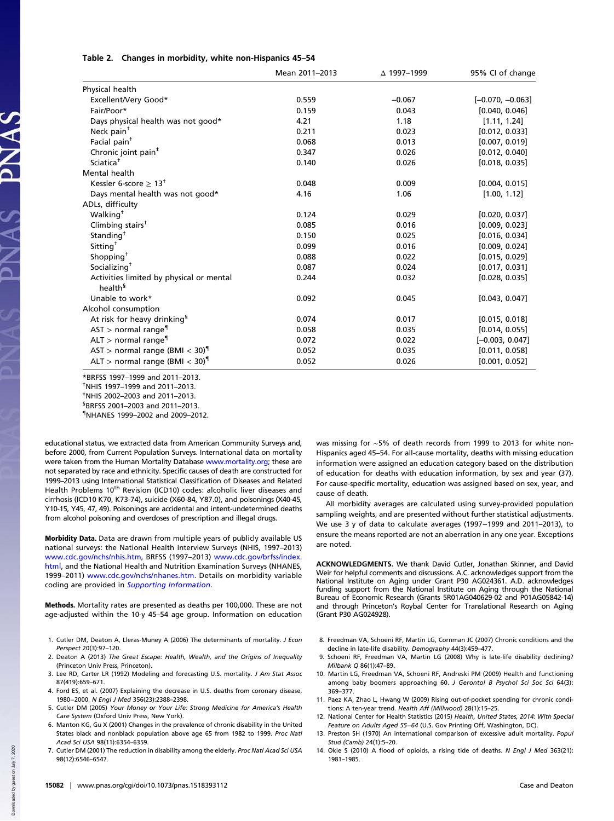|  |  |  |  | Table 2. Changes in morbidity, white non-Hispanics 45-54 |  |
|--|--|--|--|----------------------------------------------------------|--|
|--|--|--|--|----------------------------------------------------------|--|

|                                              | Mean 2011-2013 | △ 1997-1999 | 95% CI of change   |
|----------------------------------------------|----------------|-------------|--------------------|
| Physical health                              |                |             |                    |
| Excellent/Very Good*                         | 0.559          | $-0.067$    | $[-0.070, -0.063]$ |
| Fair/Poor*                                   | 0.159          | 0.043       | [0.040, 0.046]     |
| Days physical health was not good*           | 4.21           | 1.18        | [1.11, 1.24]       |
| Neck pain <sup>t</sup>                       | 0.211          | 0.023       | [0.012, 0.033]     |
| Facial pain <sup>†</sup>                     | 0.068          | 0.013       | [0.007, 0.019]     |
| Chronic joint pain <sup>#</sup>              | 0.347          | 0.026       | [0.012, 0.040]     |
| Sciatica <sup>+</sup>                        | 0.140          | 0.026       | [0.018, 0.035]     |
| Mental health                                |                |             |                    |
| Kessler 6-score $> 13^{\dagger}$             | 0.048          | 0.009       | [0.004, 0.015]     |
| Days mental health was not good*             | 4.16           | 1.06        | [1.00, 1.12]       |
| ADLs, difficulty                             |                |             |                    |
| Walking <sup>†</sup>                         | 0.124          | 0.029       | [0.020, 0.037]     |
| Climbing stairs <sup>†</sup>                 | 0.085          | 0.016       | [0.009, 0.023]     |
| Standing <sup>†</sup>                        | 0.150          | 0.025       | [0.016, 0.034]     |
| Sitting <sup>†</sup>                         | 0.099          | 0.016       | [0.009, 0.024]     |
| Shopping <sup>†</sup>                        | 0.088          | 0.022       | [0.015, 0.029]     |
| Socializing <sup>†</sup>                     | 0.087          | 0.024       | [0.017, 0.031]     |
| Activities limited by physical or mental     | 0.244          | 0.032       | [0.028, 0.035]     |
| health <sup>§</sup>                          |                |             |                    |
| Unable to work*                              | 0.092          | 0.045       | [0.043, 0.047]     |
| Alcohol consumption                          |                |             |                    |
| At risk for heavy drinking <sup>§</sup>      | 0.074          | 0.017       | [0.015, 0.018]     |
| $AST$ > normal range <sup>1</sup>            | 0.058          | 0.035       | [0.014, 0.055]     |
| $ALT >$ normal range <sup>¶</sup>            | 0.072          | 0.022       | $[-0.003, 0.047]$  |
| AST > normal range (BMI $<$ 30) <sup>¶</sup> | 0.052          | 0.035       | [0.011, 0.058]     |
| ALT > normal range (BMI $<$ 30) <sup>1</sup> | 0.052          | 0.026       | [0.001, 0.052]     |

\*BRFSS 1997–1999 and 2011–2013. †  $^{\dagger}$ NHIS 1997–1999 and 2011–2013.  $*$ NHIS 2002-2003 and 2011-2013. § BRFSS 2001–2003 and 2011–2013.

{ NHANES 1999–2002 and 2009–2012.

educational status, we extracted data from American Community Surveys and, before 2000, from Current Population Surveys. International data on mortality were taken from the Human Mortality Database [www.mortality.org](http://www.mortality.org/); these are not separated by race and ethnicity. Specific causes of death are constructed for 1999–2013 using International Statistical Classification of Diseases and Related Health Problems 10<sup>th</sup> Revision (ICD10) codes: alcoholic liver diseases and cirrhosis (ICD10 K70, K73-74), suicide (X60-84, Y87.0), and poisonings (X40-45, Y10-15, Y45, 47, 49). Poisonings are accidental and intent-undetermined deaths from alcohol poisoning and overdoses of prescription and illegal drugs.

Morbidity Data. Data are drawn from multiple years of publicly available US national surveys: the National Health Interview Surveys (NHIS, 1997–2013) [www.cdc.gov/nchs/nhis.htm,](http://www.cdc.gov/nchs/nhis.htm) BRFSS (1997–2013) [www.cdc.gov/brfss/index.](http://www.cdc.gov/brfss/index.html) [html](http://www.cdc.gov/brfss/index.html), and the National Health and Nutrition Examination Surveys (NHANES, 1999–2011) [www.cdc.gov/nchs/nhanes.htm](http://www.cdc.gov/nchs/nhanes.htm). Details on morbidity variable coding are provided in [Supporting Information](http://www.pnas.org/lookup/suppl/doi:10.1073/pnas.1518393112/-/DCSupplemental/pnas.201518393SI.pdf?targetid=nameddest=STXT).

Methods. Mortality rates are presented as deaths per 100,000. These are not age-adjusted within the 10-y 45–54 age group. Information on education

- 1. Cutler DM, Deaton A, Lleras-Muney A (2006) The determinants of mortality. J Econ Perspect 20(3):97–120.
- 2. Deaton A (2013) The Great Escape: Health, Wealth, and the Origins of Inequality (Princeton Univ Press, Princeton).
- 3. Lee RD, Carter LR (1992) Modeling and forecasting U.S. mortality. J Am Stat Assoc 87(419):659–671.
- 4. Ford ES, et al. (2007) Explaining the decrease in U.S. deaths from coronary disease, 1980−2000. N Engl J Med 356(23):2388–2398.
- 5. Cutler DM (2005) Your Money or Your Life: Strong Medicine for America's Health Care System (Oxford Univ Press, New York).
- 6. Manton KG, Gu X (2001) Changes in the prevalence of chronic disability in the United States black and nonblack population above age 65 from 1982 to 1999. Proc Natl Acad Sci USA 98(11):6354–6359.
- 7. Cutler DM (2001) The reduction in disability among the elderly. Proc Natl Acad Sci USA 98(12):6546–6547.

was missing for ∼5% of death records from 1999 to 2013 for white non-Hispanics aged 45–54. For all-cause mortality, deaths with missing education information were assigned an education category based on the distribution of education for deaths with education information, by sex and year (37). For cause-specific mortality, education was assigned based on sex, year, and cause of death.

All morbidity averages are calculated using survey-provided population sampling weights, and are presented without further statistical adjustments. We use 3 y of data to calculate averages (1997−1999 and 2011–2013), to ensure the means reported are not an aberration in any one year. Exceptions are noted.

ACKNOWLEDGMENTS. We thank David Cutler, Jonathan Skinner, and David Weir for helpful comments and discussions. A.C. acknowledges support from the National Institute on Aging under Grant P30 AG024361. A.D. acknowledges funding support from the National Institute on Aging through the National Bureau of Economic Research (Grants 5R01AG040629-02 and P01AG05842-14) and through Princeton's Roybal Center for Translational Research on Aging (Grant P30 AG024928).

- 8. Freedman VA, Schoeni RF, Martin LG, Cornman JC (2007) Chronic conditions and the decline in late-life disability. Demography 44(3):459–477.
- 9. Schoeni RF, Freedman VA, Martin LG (2008) Why is late-life disability declining? Milbank Q 86(1):47–89.
- 10. Martin LG, Freedman VA, Schoeni RF, Andreski PM (2009) Health and functioning among baby boomers approaching 60. J Gerontol B Psychol Sci Soc Sci 64(3): 369–377.
- 11. Paez KA, Zhao L, Hwang W (2009) Rising out-of-pocket spending for chronic conditions: A ten-year trend. Health Aff (Millwood) 28(1):15–25.
- 12. National Center for Health Statistics (2015) Health, United States, 2014: With Special Feature on Adults Aged 55−64 (U.S. Gov Printing Off, Washington, DC).
- 13. Preston SH (1970) An international comparison of excessive adult mortality. Popul Stud (Camb) 24(1):5–20.
- 14. Okie S (2010) A flood of opioids, a rising tide of deaths. N Engl J Med 363(21): 1981–1985.

hown